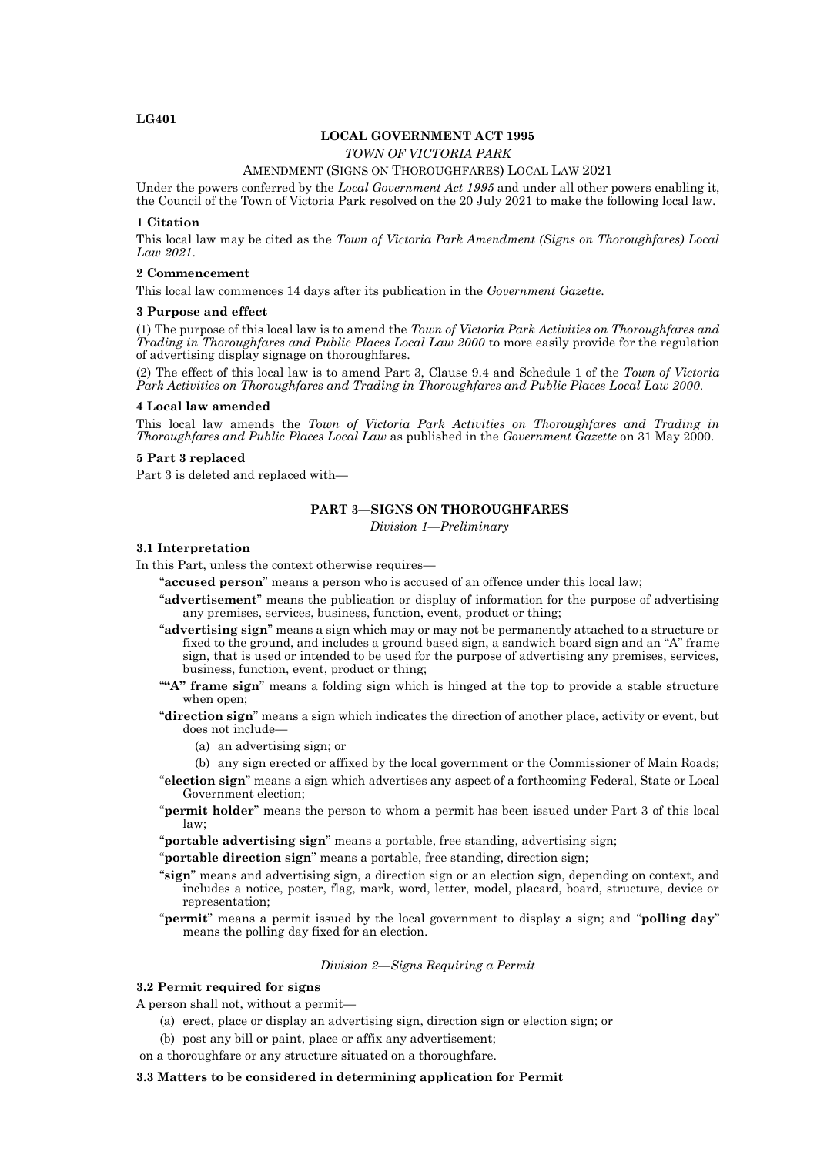# **LG401**

# **LOCAL GOVERNMENT ACT 1995**

*TOWN OF VICTORIA PARK*

## AMENDMENT (SIGNS ON THOROUGHFARES) LOCAL LAW 2021

Under the powers conferred by the *Local Government Act 1995* and under all other powers enabling it, the Council of the Town of Victoria Park resolved on the 20 July 2021 to make the following local law.

## **1 Citation**

This local law may be cited as the *Town of Victoria Park Amendment (Signs on Thoroughfares) Local Law 2021*.

## **2 Commencement**

This local law commences 14 days after its publication in the *Government Gazette*.

### **3 Purpose and effect**

(1) The purpose of this local law is to amend the *Town of Victoria Park Activities on Thoroughfares and Trading in Thoroughfares and Public Places Local Law 2000* to more easily provide for the regulation of advertising display signage on thoroughfares.

(2) The effect of this local law is to amend Part 3, Clause 9.4 and Schedule 1 of the *Town of Victoria Park Activities on Thoroughfares and Trading in Thoroughfares and Public Places Local Law 2000*.

#### **4 Local law amended**

This local law amends the *Town of Victoria Park Activities on Thoroughfares and Trading in Thoroughfares and Public Places Local Law* as published in the *Government Gazette* on 31 May 2000.

# **5 Part 3 replaced**

Part 3 is deleted and replaced with—

# **PART 3—SIGNS ON THOROUGHFARES**

*Division 1—Preliminary*

### **3.1 Interpretation**

In this Part, unless the context otherwise requires—

- "**accused person**" means a person who is accused of an offence under this local law;
- "**advertisement**" means the publication or display of information for the purpose of advertising any premises, services, business, function, event, product or thing;
- "**advertising sign**" means a sign which may or may not be permanently attached to a structure or fixed to the ground, and includes a ground based sign, a sandwich board sign and an "A" frame sign, that is used or intended to be used for the purpose of advertising any premises, services, business, function, event, product or thing;
- "**"A" frame sign**" means a folding sign which is hinged at the top to provide a stable structure when open;
- "**direction sign**" means a sign which indicates the direction of another place, activity or event, but does not include—
	- (a) an advertising sign; or
	- (b) any sign erected or affixed by the local government or the Commissioner of Main Roads;
- "**election sign**" means a sign which advertises any aspect of a forthcoming Federal, State or Local Government election;
- "**permit holder**" means the person to whom a permit has been issued under Part 3 of this local law;
- "**portable advertising sign**" means a portable, free standing, advertising sign;
- "**portable direction sign**" means a portable, free standing, direction sign;
- "**sign**" means and advertising sign, a direction sign or an election sign, depending on context, and includes a notice, poster, flag, mark, word, letter, model, placard, board, structure, device or representation;
- "**permit**" means a permit issued by the local government to display a sign; and "**polling day**" means the polling day fixed for an election.

## *Division 2—Signs Requiring a Permit*

# **3.2 Permit required for signs**

A person shall not, without a permit—

- (a) erect, place or display an advertising sign, direction sign or election sign; or
- (b) post any bill or paint, place or affix any advertisement;
- on a thoroughfare or any structure situated on a thoroughfare.

### **3.3 Matters to be considered in determining application for Permit**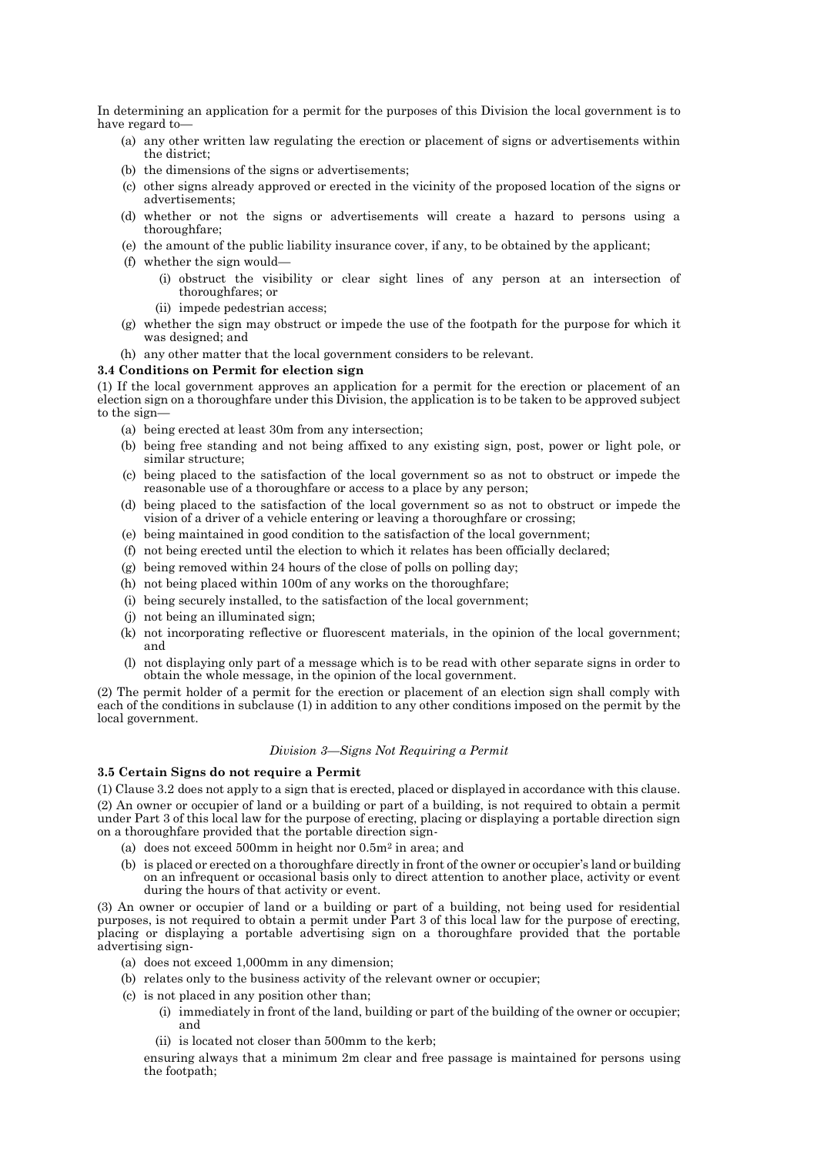In determining an application for a permit for the purposes of this Division the local government is to have regard to—

- (a) any other written law regulating the erection or placement of signs or advertisements within the district;
- (b) the dimensions of the signs or advertisements;
- (c) other signs already approved or erected in the vicinity of the proposed location of the signs or advertisements;
- (d) whether or not the signs or advertisements will create a hazard to persons using a thoroughfare;
- (e) the amount of the public liability insurance cover, if any, to be obtained by the applicant;
- (f) whether the sign would—
	- (i) obstruct the visibility or clear sight lines of any person at an intersection of thoroughfares; or
	- (ii) impede pedestrian access;
- (g) whether the sign may obstruct or impede the use of the footpath for the purpose for which it was designed; and
- (h) any other matter that the local government considers to be relevant.

## **3.4 Conditions on Permit for election sign**

(1) If the local government approves an application for a permit for the erection or placement of an election sign on a thoroughfare under this Division, the application is to be taken to be approved subject to the sign—

- (a) being erected at least 30m from any intersection;
- (b) being free standing and not being affixed to any existing sign, post, power or light pole, or similar structure;
- (c) being placed to the satisfaction of the local government so as not to obstruct or impede the reasonable use of a thoroughfare or access to a place by any person;
- (d) being placed to the satisfaction of the local government so as not to obstruct or impede the vision of a driver of a vehicle entering or leaving a thoroughfare or crossing;
- (e) being maintained in good condition to the satisfaction of the local government;
- (f) not being erected until the election to which it relates has been officially declared;
- (g) being removed within 24 hours of the close of polls on polling day;
- (h) not being placed within 100m of any works on the thoroughfare;
- (i) being securely installed, to the satisfaction of the local government;
- (j) not being an illuminated sign;
- (k) not incorporating reflective or fluorescent materials, in the opinion of the local government; and
- (l) not displaying only part of a message which is to be read with other separate signs in order to obtain the whole message, in the opinion of the local government.

(2) The permit holder of a permit for the erection or placement of an election sign shall comply with each of the conditions in subclause (1) in addition to any other conditions imposed on the permit by the local government.

# *Division 3—Signs Not Requiring a Permit*

# **3.5 Certain Signs do not require a Permit**

(1) Clause 3.2 does not apply to a sign that is erected, placed or displayed in accordance with this clause. (2) An owner or occupier of land or a building or part of a building, is not required to obtain a permit under Part 3 of this local law for the purpose of erecting, placing or displaying a portable direction sign on a thoroughfare provided that the portable direction sign-

- (a) does not exceed 500mm in height nor 0.5m<sup>2</sup> in area; and
- (b) is placed or erected on a thoroughfare directly in front of the owner or occupier's land or building on an infrequent or occasional basis only to direct attention to another place, activity or event during the hours of that activity or event.

(3) An owner or occupier of land or a building or part of a building, not being used for residential purposes, is not required to obtain a permit under Part 3 of this local law for the purpose of erecting, placing or displaying a portable advertising sign on a thoroughfare provided that the portable advertising sign-

- (a) does not exceed 1,000mm in any dimension;
- (b) relates only to the business activity of the relevant owner or occupier;
- (c) is not placed in any position other than;
	- (i) immediately in front of the land, building or part of the building of the owner or occupier; and
	- (ii) is located not closer than 500mm to the kerb;

ensuring always that a minimum 2m clear and free passage is maintained for persons using the footpath;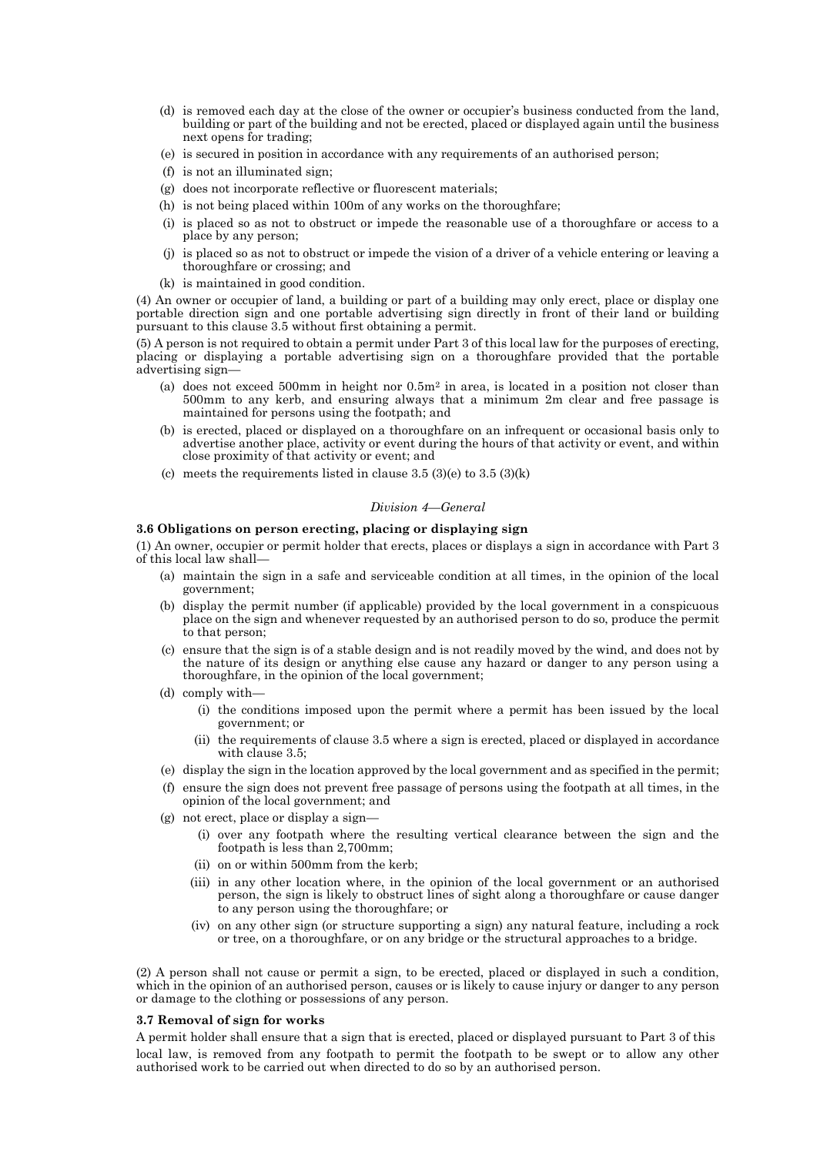- (d) is removed each day at the close of the owner or occupier's business conducted from the land, building or part of the building and not be erected, placed or displayed again until the business next opens for trading;
- (e) is secured in position in accordance with any requirements of an authorised person;
- (f) is not an illuminated sign;
- (g) does not incorporate reflective or fluorescent materials;
- (h) is not being placed within 100m of any works on the thoroughfare;
- (i) is placed so as not to obstruct or impede the reasonable use of a thoroughfare or access to a place by any person;
- (j) is placed so as not to obstruct or impede the vision of a driver of a vehicle entering or leaving a thoroughfare or crossing; and
- (k) is maintained in good condition.

(4) An owner or occupier of land, a building or part of a building may only erect, place or display one portable direction sign and one portable advertising sign directly in front of their land or building pursuant to this clause 3.5 without first obtaining a permit.

(5) A person is not required to obtain a permit under Part 3 of this local law for the purposes of erecting, placing or displaying a portable advertising sign on a thoroughfare provided that the portable advertising sign—

- (a) does not exceed  $500 \text{mm}$  in height nor  $0.5 \text{m}^2$  in area, is located in a position not closer than 500mm to any kerb, and ensuring always that a minimum 2m clear and free passage is maintained for persons using the footpath; and
- (b) is erected, placed or displayed on a thoroughfare on an infrequent or occasional basis only to advertise another place, activity or event during the hours of that activity or event, and within close proximity of that activity or event; and
- (c) meets the requirements listed in clause  $3.5\,(3)(e)$  to  $3.5\,(3)(k)$

## *Division 4—General*

# **3.6 Obligations on person erecting, placing or displaying sign**

(1) An owner, occupier or permit holder that erects, places or displays a sign in accordance with Part 3 of this local law shall—

- (a) maintain the sign in a safe and serviceable condition at all times, in the opinion of the local government;
- (b) display the permit number (if applicable) provided by the local government in a conspicuous place on the sign and whenever requested by an authorised person to do so, produce the permit to that person;
- (c) ensure that the sign is of a stable design and is not readily moved by the wind, and does not by the nature of its design or anything else cause any hazard or danger to any person using a thoroughfare, in the opinion of the local government;
- (d) comply with—
	- (i) the conditions imposed upon the permit where a permit has been issued by the local government; or
	- (ii) the requirements of clause 3.5 where a sign is erected, placed or displayed in accordance with clause 3.5;
- (e) display the sign in the location approved by the local government and as specified in the permit;
- (f) ensure the sign does not prevent free passage of persons using the footpath at all times, in the opinion of the local government; and
- (g) not erect, place or display a sign—
	- (i) over any footpath where the resulting vertical clearance between the sign and the footpath is less than 2,700mm;
	- (ii) on or within 500mm from the kerb;
	- (iii) in any other location where, in the opinion of the local government or an authorised person, the sign is likely to obstruct lines of sight along a thoroughfare or cause danger to any person using the thoroughfare; or
	- (iv) on any other sign (or structure supporting a sign) any natural feature, including a rock or tree, on a thoroughfare, or on any bridge or the structural approaches to a bridge.

(2) A person shall not cause or permit a sign, to be erected, placed or displayed in such a condition, which in the opinion of an authorised person, causes or is likely to cause injury or danger to any person or damage to the clothing or possessions of any person.

#### **3.7 Removal of sign for works**

A permit holder shall ensure that a sign that is erected, placed or displayed pursuant to Part 3 of this local law, is removed from any footpath to permit the footpath to be swept or to allow any other authorised work to be carried out when directed to do so by an authorised person.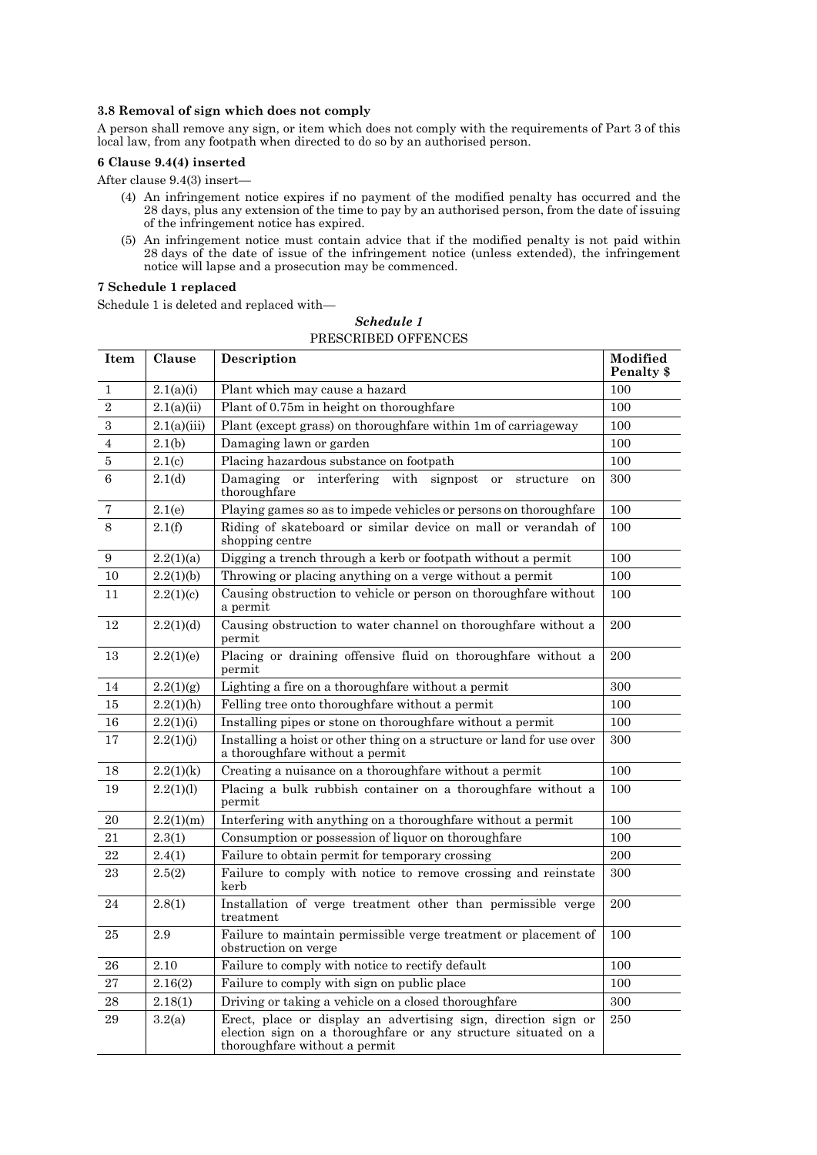## **3.8 Removal of sign which does not comply**

A person shall remove any sign, or item which does not comply with the requirements of Part 3 of this local law, from any footpath when directed to do so by an authorised person.

## **6 Clause 9.4(4) inserted**

After clause 9.4(3) insert—

- (4) An infringement notice expires if no payment of the modified penalty has occurred and the 28 days, plus any extension of the time to pay by an authorised person, from the date of issuing of the infringement notice has expired.
- (5) An infringement notice must contain advice that if the modified penalty is not paid within 28 days of the date of issue of the infringement notice (unless extended), the infringement notice will lapse and a prosecution may be commenced.

# **7 Schedule 1 replaced**

Schedule 1 is deleted and replaced with—

| Item           | Clause      | Description                                                                                                                                                       | Modified<br>Penalty \$ |
|----------------|-------------|-------------------------------------------------------------------------------------------------------------------------------------------------------------------|------------------------|
| $\mathbf{1}$   | 2.1(a)(i)   | Plant which may cause a hazard                                                                                                                                    | 100                    |
| $\overline{2}$ | 2.1(a)(ii)  | Plant of 0.75m in height on thoroughfare                                                                                                                          | 100                    |
| 3              | 2.1(a)(iii) | Plant (except grass) on thoroughfare within 1m of carriageway                                                                                                     | 100                    |
| $\overline{4}$ | 2.1(b)      | Damaging lawn or garden                                                                                                                                           | 100                    |
| 5              | 2.1(c)      | Placing hazardous substance on footpath                                                                                                                           | 100                    |
| 6              | 2.1(d)      | Damaging or interfering with signpost<br>or<br>structure<br>on<br>thoroughfare                                                                                    | 300                    |
| 7              | 2.1(e)      | Playing games so as to impede vehicles or persons on thoroughfare                                                                                                 | 100                    |
| 8              | 2.1(f)      | Riding of skateboard or similar device on mall or verandah of<br>shopping centre                                                                                  | 100                    |
| 9              | 2.2(1)(a)   | Digging a trench through a kerb or footpath without a permit                                                                                                      | 100                    |
| 10             | 2.2(1)(b)   | Throwing or placing anything on a verge without a permit                                                                                                          | 100                    |
| 11             | 2.2(1)(c)   | Causing obstruction to vehicle or person on thoroughfare without<br>a permit                                                                                      | 100                    |
| 12             | 2.2(1)(d)   | Causing obstruction to water channel on thoroughfare without a<br>permit                                                                                          | 200                    |
| 13             | 2.2(1)(e)   | Placing or draining offensive fluid on thoroughfare without a<br>permit                                                                                           | 200                    |
| 14             | 2.2(1)(g)   | Lighting a fire on a thoroughfare without a permit                                                                                                                | 300                    |
| 15             | 2.2(1)(h)   | Felling tree onto thoroughfare without a permit                                                                                                                   | 100                    |
| 16             | 2.2(1)(i)   | Installing pipes or stone on thoroughfare without a permit                                                                                                        | 100                    |
| 17             | 2.2(1)(i)   | Installing a hoist or other thing on a structure or land for use over<br>a thoroughfare without a permit                                                          | 300                    |
| 18             | 2.2(1)(k)   | Creating a nuisance on a thoroughfare without a permit                                                                                                            | 100                    |
| 19             | 2.2(1)(1)   | Placing a bulk rubbish container on a thoroughfare without a<br>permit                                                                                            | 100                    |
| 20             | 2.2(1)(m)   | Interfering with anything on a thoroughfare without a permit                                                                                                      | 100                    |
| 21             | 2.3(1)      | Consumption or possession of liquor on thoroughfare                                                                                                               | 100                    |
| 22             | 2.4(1)      | Failure to obtain permit for temporary crossing                                                                                                                   | 200                    |
| 23             | 2.5(2)      | Failure to comply with notice to remove crossing and reinstate<br>kerb                                                                                            | 300                    |
| 24             | 2.8(1)      | Installation of verge treatment other than permissible verge<br>treatment                                                                                         | 200                    |
| 25             | 2.9         | Failure to maintain permissible verge treatment or placement of<br>obstruction on verge                                                                           | 100                    |
| 26             | 2.10        | Failure to comply with notice to rectify default                                                                                                                  | 100                    |
| 27             | 2.16(2)     | Failure to comply with sign on public place                                                                                                                       | 100                    |
| 28             | 2.18(1)     | Driving or taking a vehicle on a closed thoroughfare                                                                                                              | 300                    |
| 29             | 3.2(a)      | Erect, place or display an advertising sign, direction sign or<br>election sign on a thoroughfare or any structure situated on a<br>thoroughfare without a permit | 250                    |

# *Schedule 1* PRESCRIBED OFFENCES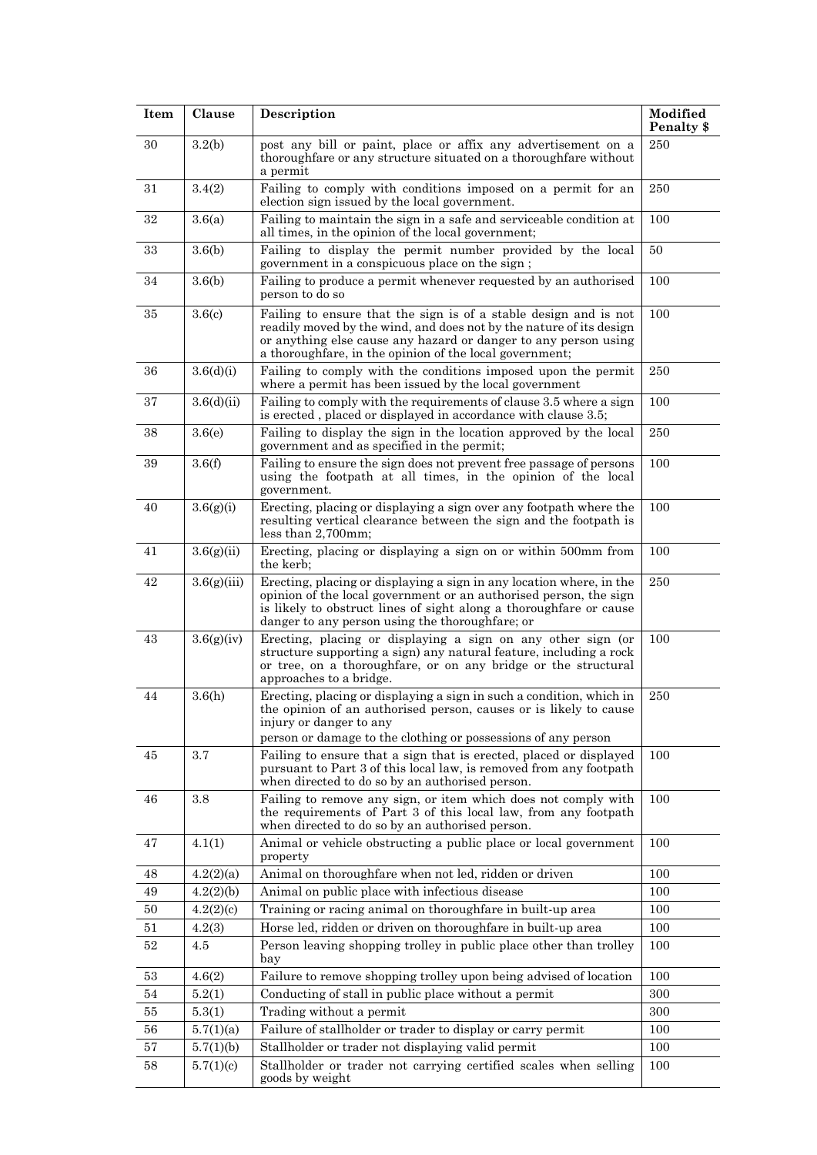| <b>Item</b> | Clause      | Description                                                                                                                                                                                                                                                           | Modified<br>Penalty \$ |
|-------------|-------------|-----------------------------------------------------------------------------------------------------------------------------------------------------------------------------------------------------------------------------------------------------------------------|------------------------|
| 30          | 3.2(b)      | post any bill or paint, place or affix any advertisement on a<br>thoroughfare or any structure situated on a thoroughfare without<br>a permit                                                                                                                         | 250                    |
| 31          | 3.4(2)      | Failing to comply with conditions imposed on a permit for an<br>election sign issued by the local government.                                                                                                                                                         | 250                    |
| 32          | 3.6(a)      | Failing to maintain the sign in a safe and serviceable condition at<br>all times, in the opinion of the local government;                                                                                                                                             | 100                    |
| 33          | 3.6(b)      | Failing to display the permit number provided by the local<br>government in a conspicuous place on the sign;                                                                                                                                                          | 50                     |
| 34          | 3.6(b)      | Failing to produce a permit whenever requested by an authorised<br>person to do so                                                                                                                                                                                    | 100                    |
| 35          | 3.6(c)      | Failing to ensure that the sign is of a stable design and is not<br>readily moved by the wind, and does not by the nature of its design<br>or anything else cause any hazard or danger to any person using<br>a thoroughfare, in the opinion of the local government; | 100                    |
| 36          | 3.6(d)(i)   | Failing to comply with the conditions imposed upon the permit<br>where a permit has been issued by the local government                                                                                                                                               | 250                    |
| 37          | 3.6(d)(ii)  | Failing to comply with the requirements of clause 3.5 where a sign<br>is erected, placed or displayed in accordance with clause 3.5;                                                                                                                                  | 100                    |
| 38          | 3.6(e)      | Failing to display the sign in the location approved by the local<br>government and as specified in the permit;                                                                                                                                                       | 250                    |
| 39          | 3.6(f)      | Failing to ensure the sign does not prevent free passage of persons<br>using the footpath at all times, in the opinion of the local<br>government.                                                                                                                    | 100                    |
| 40          | 3.6(g)(i)   | Erecting, placing or displaying a sign over any footpath where the<br>resulting vertical clearance between the sign and the footpath is<br>less than $2,700$ mm;                                                                                                      | 100                    |
| 41          | 3.6(g)(ii)  | Erecting, placing or displaying a sign on or within 500mm from<br>the kerb;                                                                                                                                                                                           | 100                    |
| 42          | 3.6(g)(iii) | Erecting, placing or displaying a sign in any location where, in the<br>opinion of the local government or an authorised person, the sign<br>is likely to obstruct lines of sight along a thoroughfare or cause<br>danger to any person using the thoroughfare; or    | 250                    |
| 43          | 3.6(g)(iv)  | Erecting, placing or displaying a sign on any other sign (or<br>structure supporting a sign) any natural feature, including a rock<br>or tree, on a thoroughfare, or on any bridge or the structural<br>approaches to a bridge.                                       | 100                    |
| 44          | 3.6(h)      | Erecting, placing or displaying a sign in such a condition, which in<br>the opinion of an authorised person, causes or is likely to cause<br>injury or danger to any<br>person or damage to the clothing or possessions of any person                                 | 250                    |
| 45          | 3.7         | Failing to ensure that a sign that is erected, placed or displayed<br>pursuant to Part 3 of this local law, is removed from any footpath<br>when directed to do so by an authorised person.                                                                           | 100                    |
| 46          | 3.8         | Failing to remove any sign, or item which does not comply with<br>the requirements of Part 3 of this local law, from any footpath<br>when directed to do so by an authorised person.                                                                                  | 100                    |
| 47          | 4.1(1)      | Animal or vehicle obstructing a public place or local government<br>property                                                                                                                                                                                          | 100                    |
| 48          | 4.2(2)(a)   | Animal on thoroughfare when not led, ridden or driven                                                                                                                                                                                                                 | 100                    |
| 49          | 4.2(2)(b)   | Animal on public place with infectious disease                                                                                                                                                                                                                        | 100                    |
| 50          | 4.2(2)(c)   | Training or racing animal on thoroughfare in built-up area                                                                                                                                                                                                            | 100                    |
| 51          | 4.2(3)      | Horse led, ridden or driven on thoroughfare in built-up area                                                                                                                                                                                                          | 100                    |
| 52          | 4.5         | Person leaving shopping trolley in public place other than trolley<br>bay                                                                                                                                                                                             | 100                    |
| 53          | 4.6(2)      | Failure to remove shopping trolley upon being advised of location                                                                                                                                                                                                     | 100                    |
| 54          | 5.2(1)      | Conducting of stall in public place without a permit                                                                                                                                                                                                                  | 300                    |
| 55          | 5.3(1)      | Trading without a permit                                                                                                                                                                                                                                              | 300                    |
| 56          | 5.7(1)(a)   | Failure of stallholder or trader to display or carry permit                                                                                                                                                                                                           | 100                    |
| 57          | 5.7(1)(b)   | Stallholder or trader not displaying valid permit                                                                                                                                                                                                                     | 100                    |
| 58          | 5.7(1)(c)   | Stallholder or trader not carrying certified scales when selling<br>goods by weight                                                                                                                                                                                   | 100                    |